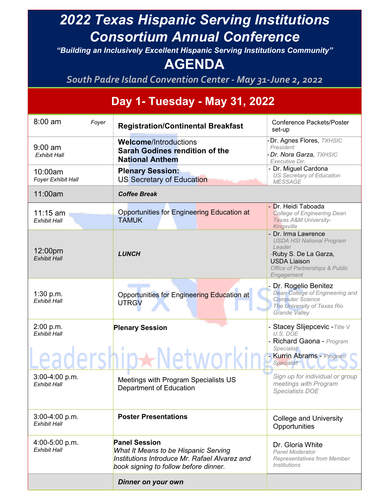## *2022 Texas Hispanic Serving Institutions Consortium Annual Conference*

*"Building an Inclusively Excellent Hispanic Serving Institutions Community"*

## **AGENDA**

*South Padre Island Convention Center - May 31-June 2, 2022*

## **Day 1- Tuesday - May 31, 2022**

| $8:00$ am<br>Foyer                      | <b>Registration/Continental Breakfast</b>                                                                                                                     | <b>Conference Packets/Poster</b><br>set-up                                                                                                                                  |
|-----------------------------------------|---------------------------------------------------------------------------------------------------------------------------------------------------------------|-----------------------------------------------------------------------------------------------------------------------------------------------------------------------------|
| $9:00$ am<br><b>Exhibit Hall</b>        | <b>Welcome/Introductions</b><br><b>Sarah Godines rendition of the</b><br><b>National Anthem</b>                                                               | Dr. Agnes Flores, TXHSIC<br>President<br>Dr. Nora Garza, TXHSIC<br>Executive Dir.                                                                                           |
| 10:00am<br>Foyer Exhibit Hall           | <b>Plenary Session:</b><br>US Secretary of Education                                                                                                          | - Dr. Miguel Cardona<br><b>US Secretary of Education</b><br><b>MESSAGE</b>                                                                                                  |
| 11:00am                                 | <b>Coffee Break</b>                                                                                                                                           |                                                                                                                                                                             |
| $11:15$ am<br><b>Exhibit Hall</b>       | <b>Opportunities for Engineering Education at</b><br><b>TAMUK</b>                                                                                             | Dr. Heidi Taboada<br><b>College of Engineering Dean</b><br>Texas A&M University-<br>Kingsville                                                                              |
| 12:00pm<br><b>Exhibit Hall</b>          | <b>LUNCH</b>                                                                                                                                                  | Dr. Irma Lawrence<br><b>USDA HSI National Program</b><br>Leader<br>-Ruby S. De La Garza,<br><b>USDA Liaison</b><br><b>Office of Partnerships &amp; Public</b><br>Engagement |
| 1:30 p.m.<br><b>Exhibit Hall</b>        | Opportunities for Engineering Education at<br><b>UTRGV</b>                                                                                                    | Dr. Rogelio Benitez<br>Dean College of Engineering and<br><b>Computer Science</b><br>The University of Texas Rio<br>Grande Valley                                           |
| 2:00 p.m.<br><b>Exhibit Hall</b>        | <b>Plenary Session</b>                                                                                                                                        | Stacey Slijepcevic - Title V<br>U.S. DOE<br>Richard Gaona - Program<br>Specialist<br>- Kurrin Abrams - Program<br>Specialist                                                |
| $3:00-4:00 p.m.$<br><b>Exhibit Hall</b> | Meetings with Program Specialists US<br>Department of Education                                                                                               | Sign up for individual or group<br>meetings with Program<br><b>Specialists DOE</b>                                                                                          |
| $3:00-4:00 p.m.$<br><b>Exhibit Hall</b> | <b>Poster Presentations</b>                                                                                                                                   | <b>College and University</b><br>Opportunities                                                                                                                              |
| 4:00-5:00 p.m.<br>Exhibit Hall          | <b>Panel Session</b><br><b>What It Means to be Hispanic Serving</b><br>Institutions Introduce Mr. Rafael Alvarez and<br>book signing to follow before dinner. | Dr. Gloria White<br>Panel Moderator<br>Representatives from Member<br><i><u><b>Institutions</b></u></i>                                                                     |
|                                         | Dinner on your own                                                                                                                                            |                                                                                                                                                                             |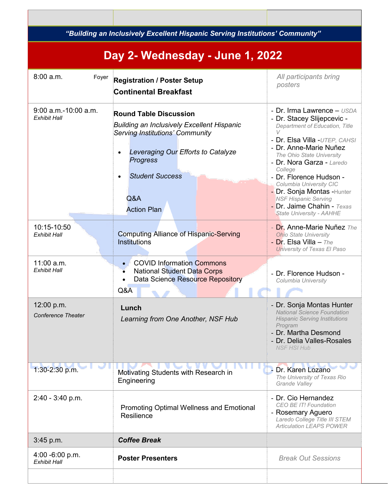|                                               | "Building an Inclusively Excellent Hispanic Serving Institutions' Community"                                                                                                                                                                                    |                                                                                                                                                                                                                                                                                                                                                                                                                  |  |  |
|-----------------------------------------------|-----------------------------------------------------------------------------------------------------------------------------------------------------------------------------------------------------------------------------------------------------------------|------------------------------------------------------------------------------------------------------------------------------------------------------------------------------------------------------------------------------------------------------------------------------------------------------------------------------------------------------------------------------------------------------------------|--|--|
| Day 2- Wednesday - June 1, 2022               |                                                                                                                                                                                                                                                                 |                                                                                                                                                                                                                                                                                                                                                                                                                  |  |  |
| $8:00$ a.m.<br>Foyer                          | <b>Registration / Poster Setup</b><br><b>Continental Breakfast</b>                                                                                                                                                                                              | All participants bring<br>posters                                                                                                                                                                                                                                                                                                                                                                                |  |  |
| $9:00$ a.m.-10:00 a.m.<br><b>Exhibit Hall</b> | <b>Round Table Discussion</b><br>Building an Inclusively Excellent Hispanic<br><b>Serving Institutions' Community</b><br>Leveraging Our Efforts to Catalyze<br>$\bullet$<br><b>Progress</b><br><b>Student Success</b><br>$\bullet$<br>Q&A<br><b>Action Plan</b> | - Dr. Irma Lawrence - USDA<br>- Dr. Stacey Slijepcevic -<br>Department of Education, Title<br>- Dr. Elsa Villa - UTEP, CAHSI<br>- Dr. Anne-Marie Nuñez<br>The Ohio State University<br>- Dr. Nora Garza - Laredo<br>College<br>- Dr. Florence Hudson -<br>Columbia University CIC<br>- Dr. Sonja Montas - Hunter<br><b>NSF Hispanic Serving</b><br>- Dr. Jaime Chahin - Texas<br><b>State University - AAHHE</b> |  |  |
| 10:15-10:50<br><b>Exhibit Hall</b>            | <b>Computing Alliance of Hispanic-Serving</b><br><b>Institutions</b>                                                                                                                                                                                            | - Dr. Anne-Marie Nuñez The<br><b>Ohio State University</b><br>- Dr. Elsa Villa $-$ The<br>University of Texas El Paso                                                                                                                                                                                                                                                                                            |  |  |
| 11:00 a.m.<br><b>Exhibit Hall</b>             | <b>COVID Information Commons</b><br>$\bullet$<br><b>National Student Data Corps</b><br>Data Science Resource Repository<br>Q&A                                                                                                                                  | - Dr. Florence Hudson -<br>Columbia University                                                                                                                                                                                                                                                                                                                                                                   |  |  |
| 12:00 p.m.<br><b>Conference Theater</b>       | Lunch<br>Learning from One Another, NSF Hub                                                                                                                                                                                                                     | - Dr. Sonja Montas Hunter<br><b>National Science Foundation</b><br><b>Hispanic Serving Institutions</b><br>Program<br>- Dr. Martha Desmond<br>- Dr. Delia Valles-Rosales<br><b>NSF HSI Hub</b>                                                                                                                                                                                                                   |  |  |
| 1:30-2:30 p.m.                                | Motivating Students with Research in<br>Engineering                                                                                                                                                                                                             | - Dr. Karen Lozano<br>The University of Texas Rio<br>Grande Valley                                                                                                                                                                                                                                                                                                                                               |  |  |
| $2:40 - 3:40$ p.m.                            | <b>Promoting Optimal Wellness and Emotional</b><br>Resilience                                                                                                                                                                                                   | - Dr. Cio Hernandez<br>CEO BE IT! Foundation<br>- Rosemary Aguero<br>Laredo College Title III STEM<br><b>Articulation LEAPS POWER</b>                                                                                                                                                                                                                                                                            |  |  |
| $3:45$ p.m.                                   | <b>Coffee Break</b>                                                                                                                                                                                                                                             |                                                                                                                                                                                                                                                                                                                                                                                                                  |  |  |
| $4:00 - 6:00 p.m.$<br><b>Exhibit Hall</b>     | <b>Poster Presenters</b>                                                                                                                                                                                                                                        | <b>Break Out Sessions</b>                                                                                                                                                                                                                                                                                                                                                                                        |  |  |
|                                               |                                                                                                                                                                                                                                                                 |                                                                                                                                                                                                                                                                                                                                                                                                                  |  |  |